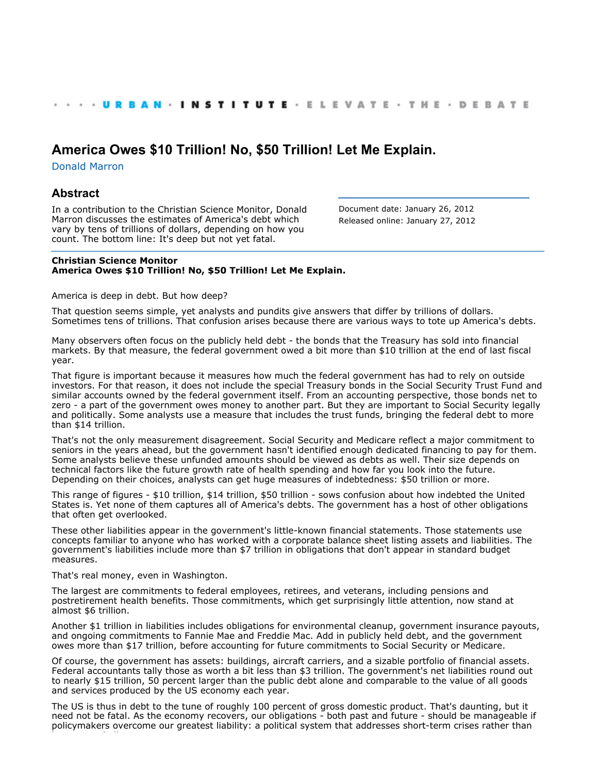## **[America Owes \\$10 Trillion! No, \\$50 Trillion! Let Me Explain.](http://www.urban.org/index.cfm)**

[Donald Marron](http://www.urban.org/DonaldMarron)

## **Abstract**

In a contribution to the Christian Science Monitor, Donald Marron discusses the estimates of America's debt which vary by tens of trillions of dollars, depending on how you count. The bottom line: It's deep but not yet fatal.

Document date: January 26, 2012 Released online: January 27, 2012

## **Christian Science Monitor America Owes \$10 Trillion! No, \$50 Trillion! Let Me Explain.**

America is deep in debt. But how deep?

That question seems simple, yet analysts and pundits give answers that differ by trillions of dollars. Sometimes tens of trillions. That confusion arises because there are various ways to tote up America's debts.

Many observers often focus on the publicly held debt - the bonds that the Treasury has sold into financial markets. By that measure, the federal government owed a bit more than \$10 trillion at the end of last fiscal year.

That figure is important because it measures how much the federal government has had to rely on outside investors. For that reason, it does not include the special Treasury bonds in the Social Security Trust Fund and similar accounts owned by the federal government itself. From an accounting perspective, those bonds net to zero - a part of the government owes money to another part. But they are important to Social Security legally and politically. Some analysts use a measure that includes the trust funds, bringing the federal debt to more than \$14 trillion.

That's not the only measurement disagreement. Social Security and Medicare reflect a major commitment to seniors in the years ahead, but the government hasn't identified enough dedicated financing to pay for them. Some analysts believe these unfunded amounts should be viewed as debts as well. Their size depends on technical factors like the future growth rate of health spending and how far you look into the future. Depending on their choices, analysts can get huge measures of indebtedness: \$50 trillion or more.

This range of figures - \$10 trillion, \$14 trillion, \$50 trillion - sows confusion about how indebted the United States is. Yet none of them captures all of America's debts. The government has a host of other obligations that often get overlooked.

These other liabilities appear in the government's little-known financial statements. Those statements use concepts familiar to anyone who has worked with a corporate balance sheet listing assets and liabilities. The government's liabilities include more than \$7 trillion in obligations that don't appear in standard budget measures.

That's real money, even in Washington.

The largest are commitments to federal employees, retirees, and veterans, including pensions and postretirement health benefits. Those commitments, which get surprisingly little attention, now stand at almost \$6 trillion.

Another \$1 trillion in liabilities includes obligations for environmental cleanup, government insurance payouts, and ongoing commitments to Fannie Mae and Freddie Mac. Add in publicly held debt, and the government owes more than \$17 trillion, before accounting for future commitments to Social Security or Medicare.

Of course, the government has assets: buildings, aircraft carriers, and a sizable portfolio of financial assets. Federal accountants tally those as worth a bit less than \$3 trillion. The government's net liabilities round out to nearly \$15 trillion, 50 percent larger than the public debt alone and comparable to the value of all goods and services produced by the US economy each year.

The US is thus in debt to the tune of roughly 100 percent of gross domestic product. That's daunting, but it need not be fatal. As the economy recovers, our obligations - both past and future - should be manageable if policymakers overcome our greatest liability: a political system that addresses short-term crises rather than